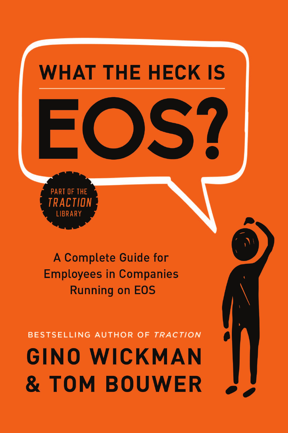

A Complete Guide for **Employees in Companies Running on EOS** 

BESTSELLING AUTHOR OF TRACTION

**GINO WICKMAN & TOM BOUWER**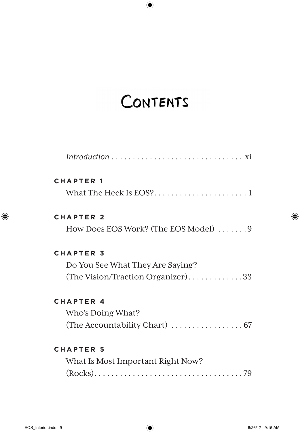# CONTENTS

| <b>CHAPTER 1</b>                     |
|--------------------------------------|
|                                      |
| <b>CHAPTER 2</b>                     |
| How Does EOS Work? (The EOS Model) 9 |
| <b>CHAPTER 3</b>                     |
| Do You See What They Are Saying?     |
| (The Vision/Traction Organizer)33    |
| <b>CHAPTER 4</b>                     |
| Who's Doing What?                    |
|                                      |
| <b>CHAPTER 5</b>                     |
| What Is Most Important Right Now?    |
|                                      |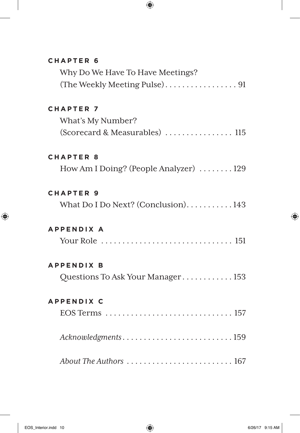### **CHAPTER 6**

| Why Do We Have To Have Meetings? |  |
|----------------------------------|--|
|                                  |  |

## **CHAPTER 7**

| What's My Number? |  |
|-------------------|--|
|                   |  |

### **CHAPTER 8**

How Am I Doing? (People Analyzer) ....... 129

#### **CHAPTER 9**

What Do I Do Next? (Conclusion).......... 143

#### **APPENDIX A**

|--|--|--|--|--|--|--|--|--|--|--|--|--|--|--|--|--|--|--|--|--|--|--|--|--|--|--|--|--|--|--|--|--|--|--|

### **APPENDIX B**

| Questions To Ask Your Manager 153 |  |  |
|-----------------------------------|--|--|
|                                   |  |  |

#### **APPENDIX C**

| Acknowledgments159                                                       |  |  |  |  |  |  |  |
|--------------------------------------------------------------------------|--|--|--|--|--|--|--|
|                                                                          |  |  |  |  |  |  |  |
| About The Authors $\ldots \ldots \ldots \ldots \ldots \ldots \ldots 167$ |  |  |  |  |  |  |  |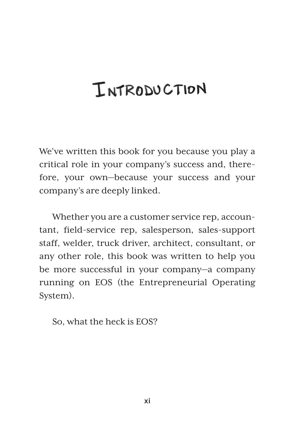# INTRODUCTION

We've written this book for you because you play a critical role in your company's success and, therefore, your own—because your success and your company's are deeply linked.

Whether you are a customer service rep, accountant, field-service rep, salesperson, sales-support staff, welder, truck driver, architect, consultant, or any other role, this book was written to help you be more successful in your company—a company running on EOS (the Entrepreneurial Operating System).

So, what the heck is EOS?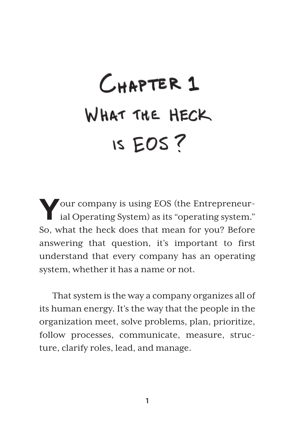# CHAPTER 1 WHAT THE HECK IS EOS?

**Y**our company is using EOS (the Entrepreneur-ial Operating System) as its "operating system." So, what the heck does that mean for you? Before answering that question, it's important to first understand that every company has an operating system, whether it has a name or not.

That system is the way a company organizes all of its human energy. It's the way that the people in the organization meet, solve problems, plan, prioritize, follow processes, communicate, measure, structure, clarify roles, lead, and manage.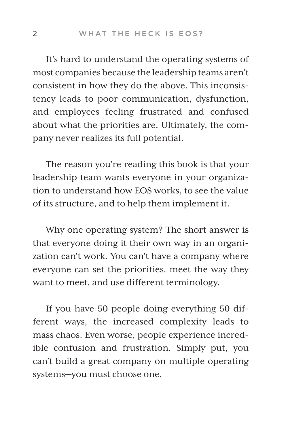It's hard to understand the operating systems of most companies because the leadership teams aren't consistent in how they do the above. This inconsistency leads to poor communication, dysfunction, and employees feeling frustrated and confused about what the priorities are. Ultimately, the company never realizes its full potential.

The reason you're reading this book is that your leadership team wants everyone in your organization to understand how EOS works, to see the value of its structure, and to help them implement it.

Why one operating system? The short answer is that everyone doing it their own way in an organization can't work. You can't have a company where everyone can set the priorities, meet the way they want to meet, and use different terminology.

If you have 50 people doing everything 50 different ways, the increased complexity leads to mass chaos. Even worse, people experience incredible confusion and frustration. Simply put, you can't build a great company on multiple operating systems—you must choose one.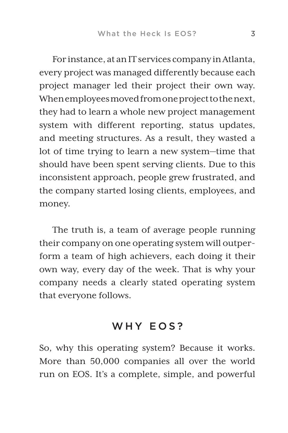For instance, at an IT services company in Atlanta, every project was managed differently because each project manager led their project their own way. When employees moved from one project to the next, they had to learn a whole new project management system with different reporting, status updates, and meeting structures. As a result, they wasted a lot of time trying to learn a new system—time that should have been spent serving clients. Due to this inconsistent approach, people grew frustrated, and the company started losing clients, employees, and money.

The truth is, a team of average people running their company on one operating system will outperform a team of high achievers, each doing it their own way, every day of the week. That is why your company needs a clearly stated operating system that everyone follows.

## WHY EOS?

So, why this operating system? Because it works. More than 50,000 companies all over the world run on EOS. It's a complete, simple, and powerful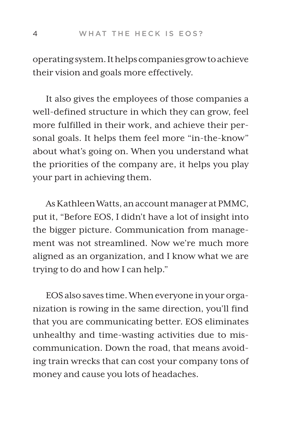operating system. It helps companies grow to achieve their vision and goals more effectively.

It also gives the employees of those companies a well-defined structure in which they can grow, feel more fulfilled in their work, and achieve their personal goals. It helps them feel more "in-the-know" about what's going on. When you understand what the priorities of the company are, it helps you play your part in achieving them.

As Kathleen Watts, an account manager at PMMC, put it, "Before EOS, I didn't have a lot of insight into the bigger picture. Communication from management was not streamlined. Now we're much more aligned as an organization, and I know what we are trying to do and how I can help."

EOS also saves time. When everyone in your organization is rowing in the same direction, you'll find that you are communicating better. EOS eliminates unhealthy and time-wasting activities due to miscommunication. Down the road, that means avoiding train wrecks that can cost your company tons of money and cause you lots of headaches.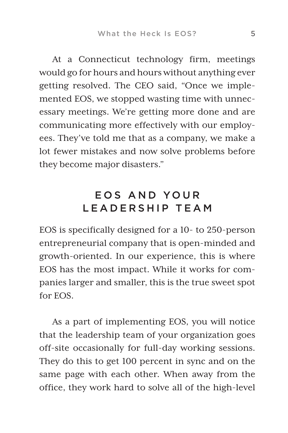At a Connecticut technology firm, meetings would go for hours and hours without anything ever getting resolved. The CEO said, "Once we implemented EOS, we stopped wasting time with unnecessary meetings. We're getting more done and are communicating more effectively with our employees. They've told me that as a company, we make a lot fewer mistakes and now solve problems before they become major disasters."

## EOS AND YOUR LEADERSHIP TEAM

EOS is specifically designed for a 10- to 250-person entrepreneurial company that is open-minded and growth-oriented. In our experience, this is where EOS has the most impact. While it works for companies larger and smaller, this is the true sweet spot for EOS.

As a part of implementing EOS, you will notice that the leadership team of your organization goes off-site occasionally for full-day working sessions. They do this to get 100 percent in sync and on the same page with each other. When away from the office, they work hard to solve all of the high-level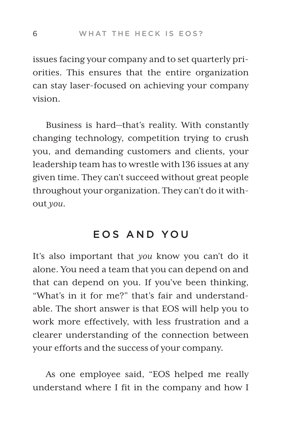issues facing your company and to set quarterly priorities. This ensures that the entire organization can stay laser-focused on achieving your company vision.

Business is hard—that's reality. With constantly changing technology, competition trying to crush you, and demanding customers and clients, your leadership team has to wrestle with 136 issues at any given time. They can't succeed without great people throughout your organization. They can't do it without *you*.

## EOS AND YOU

It's also important that *you* know you can't do it alone. You need a team that you can depend on and that can depend on you. If you've been thinking, "What's in it for me?" that's fair and understandable. The short answer is that EOS will help you to work more effectively, with less frustration and a clearer understanding of the connection between your efforts and the success of your company.

As one employee said, "EOS helped me really understand where I fit in the company and how I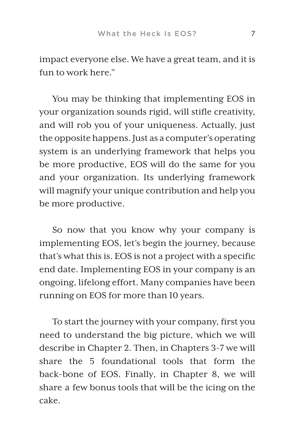impact everyone else. We have a great team, and it is fun to work here."

You may be thinking that implementing EOS in your organization sounds rigid, will stifle creativity, and will rob you of your uniqueness. Actually, just the opposite happens. Just as a computer's operating system is an underlying framework that helps you be more productive, EOS will do the same for you and your organization. Its underlying framework will magnify your unique contribution and help you be more productive.

So now that you know why your company is implementing EOS, let's begin the journey, because that's what this is. EOS is not a project with a specific end date. Implementing EOS in your company is an ongoing, lifelong effort. Many companies have been running on EOS for more than 10 years.

To start the journey with your company, first you need to understand the big picture, which we will describe in Chapter 2. Then, in Chapters 3-7 we will share the 5 foundational tools that form the back-bone of EOS. Finally, in Chapter 8, we will share a few bonus tools that will be the icing on the cake.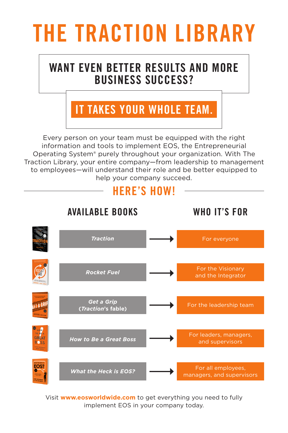# THE TRACTION LIBRARY

## WANT EVEN BETTER RESULTS AND MORE BUSINESS SUCCESS?

# IT TAKES YOUR WHOLE TEAM.

Every person on your team must be equipped with the right information and tools to implement EOS, the Entrepreneurial Operating System® purely throughout your organization. With The Traction Library, your entire company—from leadership to management to employees—will understand their role and be better equipped to help your company succeed.

# HERE'S HOW!



Visit **www.eosworldwide.com** to get everything you need to fully [implement EOS in your company today.](http://www.tractionlibrary.com)